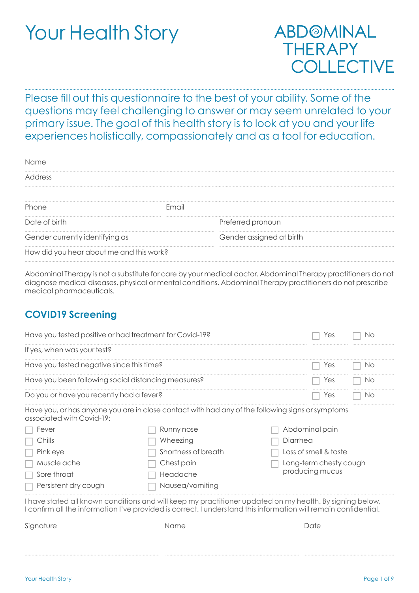# Your Health Story

# ABD@MINAL **THERAPY COLLECTIVE**

Please fill out this questionnaire to the best of your ability. Some of the questions may feel challenging to answer or may seem unrelated to your primary issue. The goal of this health story is to look at you and your life experiences holistically, compassionately and as a tool for education.

| Name                                     |                          |
|------------------------------------------|--------------------------|
| Address                                  |                          |
|                                          |                          |
| Phone                                    | Email                    |
| Date of birth                            | Preferred pronoun        |
| Gender currently identifying as          | Gender assigned at birth |
| How did you hear about me and this work? |                          |

Abdominal Therapy is not a substitute for care by your medical doctor. Abdominal Therapy practitioners do not diagnose medical diseases, physical or mental conditions. Abdominal Therapy practitioners do not prescribe medical pharmaceuticals.

#### **COVID19 Screening**

| Have you tested positive or had treatment for Covid-19?<br>'es |                                                                                                  |                                                                                                                                                                                                                             |
|----------------------------------------------------------------|--------------------------------------------------------------------------------------------------|-----------------------------------------------------------------------------------------------------------------------------------------------------------------------------------------------------------------------------|
| If yes, when was your test?                                    |                                                                                                  |                                                                                                                                                                                                                             |
| Have you tested negative since this time?                      |                                                                                                  | Yes<br>Νo                                                                                                                                                                                                                   |
| Have you been following social distancing measures?            |                                                                                                  | Yes<br>Nο                                                                                                                                                                                                                   |
| Do you or have you recently had a fever?                       |                                                                                                  | Yes<br>Νo                                                                                                                                                                                                                   |
| associated with Covid-19:                                      | Have you, or has anyone you are in close contact with had any of the following signs or symptoms |                                                                                                                                                                                                                             |
| Fever                                                          | Runny nose                                                                                       | Abdominal pain                                                                                                                                                                                                              |
| Chills                                                         | Wheezing                                                                                         | Diarrhea                                                                                                                                                                                                                    |
| Pink eye                                                       | Shortness of breath                                                                              | Loss of smell & taste                                                                                                                                                                                                       |
| Muscle ache                                                    | Chest pain                                                                                       | Long-term chesty cough                                                                                                                                                                                                      |
| Sore throat                                                    | Headache                                                                                         | producing mucus                                                                                                                                                                                                             |
| Persistent dry cough                                           | Nausea/vomiting                                                                                  |                                                                                                                                                                                                                             |
|                                                                |                                                                                                  | I have stated all known conditions and will keep my practitioner updated on my health. By signing below,<br>I confirm all the information I've provided is correct. I understand this information will remain confidential. |
| Signature                                                      | Name                                                                                             | Date                                                                                                                                                                                                                        |
|                                                                |                                                                                                  |                                                                                                                                                                                                                             |
|                                                                |                                                                                                  |                                                                                                                                                                                                                             |
|                                                                |                                                                                                  |                                                                                                                                                                                                                             |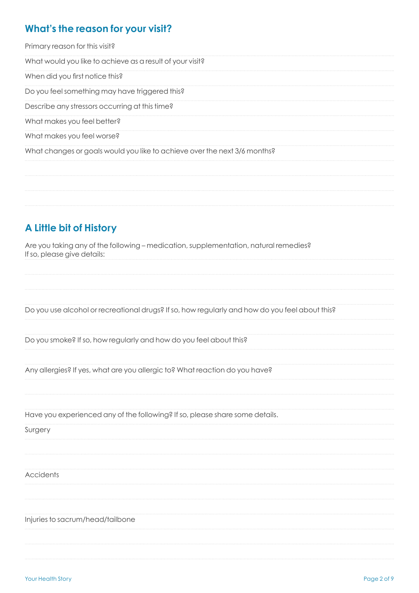#### **What's the reason for your visit?**

Primary reason for this visit?

What would you like to achieve as a result of your visit?

When did you first notice this?

Do you feel something may have triggered this?

Describe any stressors occurring at this time?

What makes you feel better?

What makes you feel worse?

What changes or goals would you like to achieve over the next 3/6 months?

### **A Little bit of History**

Are you taking any of the following – medication, supplementation, natural remedies? If so, please give details:

Do you use alcohol or recreational drugs? If so, how regularly and how do you feel about this?

Do you smoke? If so, how regularly and how do you feel about this?

Any allergies? If yes, what are you allergic to? What reaction do you have?

Have you experienced any of the following? If so, please share some details.

Surgery

**Accidents** 

Injuries to sacrum/head/tailbone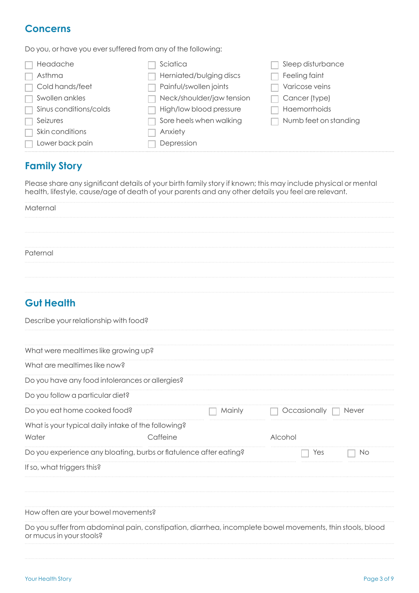#### **Concerns**

Do you, or have you ever suffered from any of the following:

| Headache               | Sciatica                  | Sleep disturbance     |
|------------------------|---------------------------|-----------------------|
| Asthma                 | Herniated/bulging discs   | Feeling faint         |
| Cold hands/feet        | Painful/swollen joints    | Varicose veins        |
| Swollen ankles         | Neck/shoulder/jaw tension | Cancer (type)         |
| Sinus conditions/colds | High/low blood pressure   | Haemorrhoids          |
| Seizures               | Sore heels when walking   | Numb feet on standing |
| Skin conditions        | Anxiety                   |                       |
| Lower back pain        | Depression                |                       |

#### **Family Story**

Please share any significant details of your birth family story if known; this may include physical or mental health, lifestyle, cause/age of death of your parents and any other details you feel are relevant.

| Maternal |
|----------|
|          |
|          |
|          |
|          |
|          |

#### **Gut Health**

| Describe your relationship with food?                                                                                                 |          |        |              |              |
|---------------------------------------------------------------------------------------------------------------------------------------|----------|--------|--------------|--------------|
| What were mealtimes like growing up?                                                                                                  |          |        |              |              |
| What are mealtimes like now?                                                                                                          |          |        |              |              |
| Do you have any food intolerances or allergies?                                                                                       |          |        |              |              |
| Do you follow a particular diet?                                                                                                      |          |        |              |              |
| Do you eat home cooked food?                                                                                                          |          | Mainly | Occasionally | <b>Never</b> |
| What is your typical daily intake of the following?<br>Water                                                                          | Caffeine |        | Alcohol      |              |
| Do you experience any bloating, burbs or flatulence after eating?                                                                     |          |        | Yes          | No           |
| If so, what triggers this?                                                                                                            |          |        |              |              |
| How often are your bowel movements?                                                                                                   |          |        |              |              |
| Do you suffer from abdominal pain, constipation, diarrhea, incomplete bowel movements, thin stools, blood<br>or mucus in your stools? |          |        |              |              |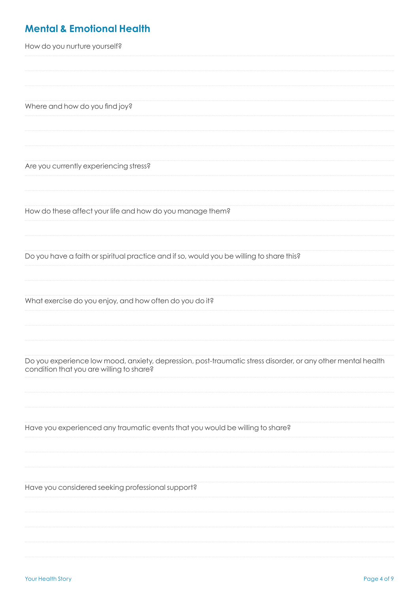## **Mental & Emotional Health**

| How do you nurture yourself?                                                                                                                            |
|---------------------------------------------------------------------------------------------------------------------------------------------------------|
|                                                                                                                                                         |
|                                                                                                                                                         |
|                                                                                                                                                         |
| Where and how do you find joy?                                                                                                                          |
|                                                                                                                                                         |
|                                                                                                                                                         |
|                                                                                                                                                         |
| Are you currently experiencing stress?                                                                                                                  |
|                                                                                                                                                         |
|                                                                                                                                                         |
| How do these affect your life and how do you manage them?                                                                                               |
|                                                                                                                                                         |
|                                                                                                                                                         |
| Do you have a faith or spiritual practice and if so, would you be willing to share this?                                                                |
|                                                                                                                                                         |
|                                                                                                                                                         |
| What exercise do you enjoy, and how often do you do it?                                                                                                 |
|                                                                                                                                                         |
|                                                                                                                                                         |
|                                                                                                                                                         |
| Do you experience low mood, anxiety, depression, post-traumatic stress disorder, or any other mental health<br>condition that you are willing to share? |
|                                                                                                                                                         |
|                                                                                                                                                         |
|                                                                                                                                                         |
| Have you experienced any traumatic events that you would be willing to share?                                                                           |
|                                                                                                                                                         |
|                                                                                                                                                         |
|                                                                                                                                                         |
| Have you considered seeking professional support?                                                                                                       |
|                                                                                                                                                         |
|                                                                                                                                                         |
|                                                                                                                                                         |
|                                                                                                                                                         |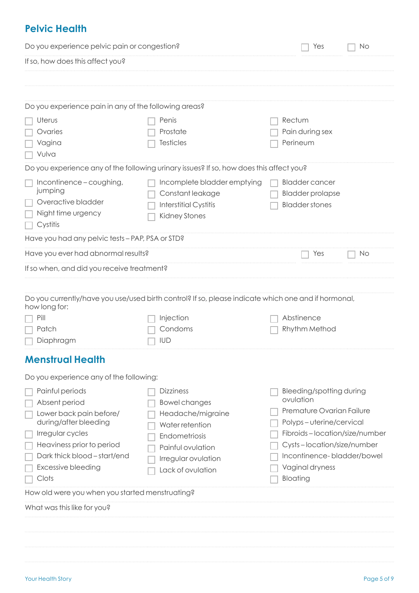#### **Pelvic Health**

| Do you experience pelvic pain or congestion?<br>Yes<br>No                                                                                                                                                                                                               |                                                                                                                                                                                                                           |  |
|-------------------------------------------------------------------------------------------------------------------------------------------------------------------------------------------------------------------------------------------------------------------------|---------------------------------------------------------------------------------------------------------------------------------------------------------------------------------------------------------------------------|--|
|                                                                                                                                                                                                                                                                         |                                                                                                                                                                                                                           |  |
|                                                                                                                                                                                                                                                                         |                                                                                                                                                                                                                           |  |
| Do you experience pain in any of the following areas?                                                                                                                                                                                                                   |                                                                                                                                                                                                                           |  |
| Penis<br>Prostate<br><b>Testicles</b>                                                                                                                                                                                                                                   | Rectum<br>Pain during sex<br>Perineum                                                                                                                                                                                     |  |
| Do you experience any of the following urinary issues? If so, how does this affect you?                                                                                                                                                                                 |                                                                                                                                                                                                                           |  |
| Incomplete bladder emptying<br>Constant leakage<br><b>Interstitial Cystitis</b><br><b>Kidney Stones</b>                                                                                                                                                                 | <b>Bladder cancer</b><br><b>Bladder prolapse</b><br><b>Bladder stones</b>                                                                                                                                                 |  |
| Have you had any pelvic tests - PAP, PSA or STD?                                                                                                                                                                                                                        |                                                                                                                                                                                                                           |  |
| Have you ever had abnormal results?                                                                                                                                                                                                                                     | No<br>Yes                                                                                                                                                                                                                 |  |
| If so when, and did you receive treatment?                                                                                                                                                                                                                              |                                                                                                                                                                                                                           |  |
| Do you currently/have you use/used birth control? If so, please indicate which one and if hormonal,<br>Injection<br>Condoms<br>IUD                                                                                                                                      | Abstinence<br>Rhythm Method                                                                                                                                                                                               |  |
|                                                                                                                                                                                                                                                                         |                                                                                                                                                                                                                           |  |
| Do you experience any of the following:<br><b>Dizziness</b><br><b>Bowel changes</b><br>Headache/migraine<br><b>Water retention</b><br>Endometriosis<br>Painful ovulation<br>Irregular ovulation<br>Lack of ovulation<br>How old were you when you started menstruating? | Bleeding/spotting during<br>ovulation<br>Premature Ovarian Failure<br>Polyps-uterine/cervical<br>Fibroids-location/size/number<br>Cysts-location/size/number<br>Incontinence-bladder/bowel<br>Vaginal dryness<br>Bloating |  |
|                                                                                                                                                                                                                                                                         |                                                                                                                                                                                                                           |  |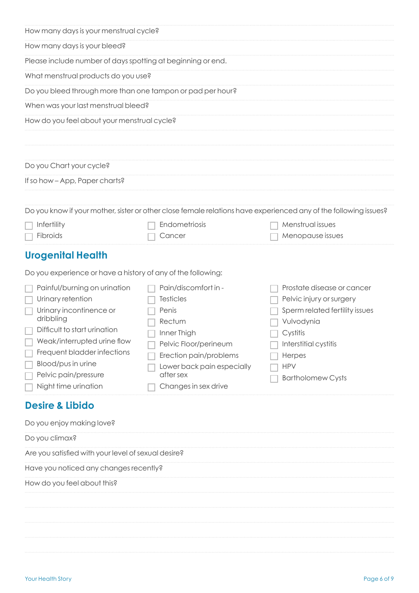| How many days is your menstrual cycle?                                                                                                                                                                                                                               |                                                                                                                                                                                                  |                                                                                                                                                                                                 |  |  |
|----------------------------------------------------------------------------------------------------------------------------------------------------------------------------------------------------------------------------------------------------------------------|--------------------------------------------------------------------------------------------------------------------------------------------------------------------------------------------------|-------------------------------------------------------------------------------------------------------------------------------------------------------------------------------------------------|--|--|
| How many days is your bleed?                                                                                                                                                                                                                                         |                                                                                                                                                                                                  |                                                                                                                                                                                                 |  |  |
| Please include number of days spotting at beginning or end.                                                                                                                                                                                                          |                                                                                                                                                                                                  |                                                                                                                                                                                                 |  |  |
|                                                                                                                                                                                                                                                                      | What menstrual products do you use?                                                                                                                                                              |                                                                                                                                                                                                 |  |  |
| Do you bleed through more than one tampon or pad per hour?                                                                                                                                                                                                           |                                                                                                                                                                                                  |                                                                                                                                                                                                 |  |  |
| When was your last menstrual bleed?                                                                                                                                                                                                                                  |                                                                                                                                                                                                  |                                                                                                                                                                                                 |  |  |
| How do you feel about your menstrual cycle?                                                                                                                                                                                                                          |                                                                                                                                                                                                  |                                                                                                                                                                                                 |  |  |
|                                                                                                                                                                                                                                                                      |                                                                                                                                                                                                  |                                                                                                                                                                                                 |  |  |
|                                                                                                                                                                                                                                                                      |                                                                                                                                                                                                  |                                                                                                                                                                                                 |  |  |
| Do you Chart your cycle?                                                                                                                                                                                                                                             |                                                                                                                                                                                                  |                                                                                                                                                                                                 |  |  |
| If so how - App, Paper charts?                                                                                                                                                                                                                                       |                                                                                                                                                                                                  |                                                                                                                                                                                                 |  |  |
|                                                                                                                                                                                                                                                                      |                                                                                                                                                                                                  |                                                                                                                                                                                                 |  |  |
|                                                                                                                                                                                                                                                                      |                                                                                                                                                                                                  | Do you know if your mother, sister or other close female relations have experienced any of the following issues?                                                                                |  |  |
| Infertility<br>Fibroids                                                                                                                                                                                                                                              | Endometriosis<br>Cancer                                                                                                                                                                          | Menstrual issues<br>Menopause issues                                                                                                                                                            |  |  |
|                                                                                                                                                                                                                                                                      |                                                                                                                                                                                                  |                                                                                                                                                                                                 |  |  |
| <b>Urogenital Health</b>                                                                                                                                                                                                                                             |                                                                                                                                                                                                  |                                                                                                                                                                                                 |  |  |
| Do you experience or have a history of any of the following:                                                                                                                                                                                                         |                                                                                                                                                                                                  |                                                                                                                                                                                                 |  |  |
| Painful/burning on urination<br>Urinary retention<br>Urinary incontinence or<br>dribbling<br>Difficult to start urination<br>$\Box$ Weak/interrupted urine flow<br>Frequent bladder infections<br>Blood/pus in urine<br>Pelvic pain/pressure<br>Night time urination | Pain/discomfort in -<br><b>Testicles</b><br>Penis<br>Rectum<br>Inner Thigh<br>Pelvic Floor/perineum<br>Erection pain/problems<br>Lower back pain especially<br>after sex<br>Changes in sex drive | Prostate disease or cancer<br>Pelvic injury or surgery<br>Sperm related fertility issues<br>Vulvodynia<br>Cystitis<br>Interstitial cystitis<br>Herpes<br><b>HPV</b><br><b>Bartholomew Cysts</b> |  |  |
| <b>Desire &amp; Libido</b>                                                                                                                                                                                                                                           |                                                                                                                                                                                                  |                                                                                                                                                                                                 |  |  |
| Do you enjoy making love?                                                                                                                                                                                                                                            |                                                                                                                                                                                                  |                                                                                                                                                                                                 |  |  |
| Do you climax?                                                                                                                                                                                                                                                       |                                                                                                                                                                                                  |                                                                                                                                                                                                 |  |  |
| Are you satisfied with your level of sexual desire?                                                                                                                                                                                                                  |                                                                                                                                                                                                  |                                                                                                                                                                                                 |  |  |
| Have you noticed any changes recently?                                                                                                                                                                                                                               |                                                                                                                                                                                                  |                                                                                                                                                                                                 |  |  |
| How do you feel about this?                                                                                                                                                                                                                                          |                                                                                                                                                                                                  |                                                                                                                                                                                                 |  |  |
|                                                                                                                                                                                                                                                                      |                                                                                                                                                                                                  |                                                                                                                                                                                                 |  |  |
|                                                                                                                                                                                                                                                                      |                                                                                                                                                                                                  |                                                                                                                                                                                                 |  |  |
|                                                                                                                                                                                                                                                                      |                                                                                                                                                                                                  |                                                                                                                                                                                                 |  |  |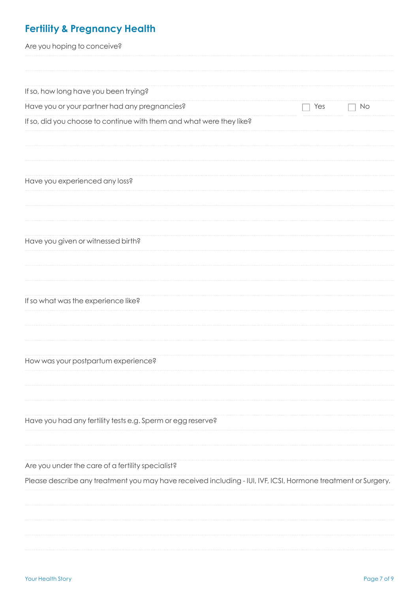# **Fertility & Pregnancy Health**

| Are you hoping to conceive?                                                                                   |     |    |
|---------------------------------------------------------------------------------------------------------------|-----|----|
|                                                                                                               |     |    |
| If so, how long have you been trying?                                                                         |     |    |
| Have you or your partner had any pregnancies?                                                                 | Yes | No |
| If so, did you choose to continue with them and what were they like?                                          |     |    |
| Have you experienced any loss?                                                                                |     |    |
| Have you given or witnessed birth?                                                                            |     |    |
| If so what was the experience like?                                                                           |     |    |
| How was your postpartum experience?                                                                           |     |    |
| Have you had any fertility tests e.g. Sperm or egg reserve?                                                   |     |    |
| Are you under the care of a fertility specialist?                                                             |     |    |
| Please describe any treatment you may have received including - IUI, IVF, ICSI, Hormone treatment or Surgery. |     |    |
|                                                                                                               |     |    |
|                                                                                                               |     |    |
|                                                                                                               |     |    |
|                                                                                                               |     |    |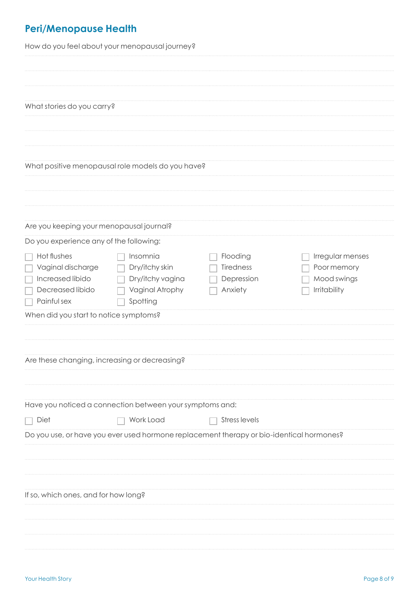# **Peri/Menopause Health**

How do you feel about your menopausal journey?

| What stories do you carry?                                                                               |                                                                                          |                                                |                                                                       |
|----------------------------------------------------------------------------------------------------------|------------------------------------------------------------------------------------------|------------------------------------------------|-----------------------------------------------------------------------|
|                                                                                                          | What positive menopausal role models do you have?                                        |                                                |                                                                       |
|                                                                                                          |                                                                                          |                                                |                                                                       |
| Are you keeping your menopausal journal?                                                                 |                                                                                          |                                                |                                                                       |
| Do you experience any of the following:                                                                  |                                                                                          |                                                |                                                                       |
| Hot flushes<br>Vaginal discharge<br>$\Box$<br>$\Box$ Increased libido<br>Decreased libido<br>Painful sex | Insomnia<br>Dry/itchy skin<br>Dry/itchy vagina<br>Vaginal Atrophy<br>Spotting            | Flooding<br>Tiredness<br>Depression<br>Anxiety | Irregular menses<br>Poor memory<br>Mood swings<br><b>Irritability</b> |
| When did you start to notice symptoms?                                                                   |                                                                                          |                                                |                                                                       |
|                                                                                                          |                                                                                          |                                                |                                                                       |
| Are these changing, increasing or decreasing?                                                            |                                                                                          |                                                |                                                                       |
|                                                                                                          | Have you noticed a connection between your symptoms and:                                 |                                                |                                                                       |
| Diet                                                                                                     | Work Load                                                                                | <b>Stress levels</b>                           |                                                                       |
|                                                                                                          | Do you use, or have you ever used hormone replacement therapy or bio-identical hormones? |                                                |                                                                       |
|                                                                                                          |                                                                                          |                                                |                                                                       |
|                                                                                                          |                                                                                          |                                                |                                                                       |
| If so, which ones, and for how long?                                                                     |                                                                                          |                                                |                                                                       |
|                                                                                                          |                                                                                          |                                                |                                                                       |
|                                                                                                          |                                                                                          |                                                |                                                                       |
|                                                                                                          |                                                                                          |                                                |                                                                       |